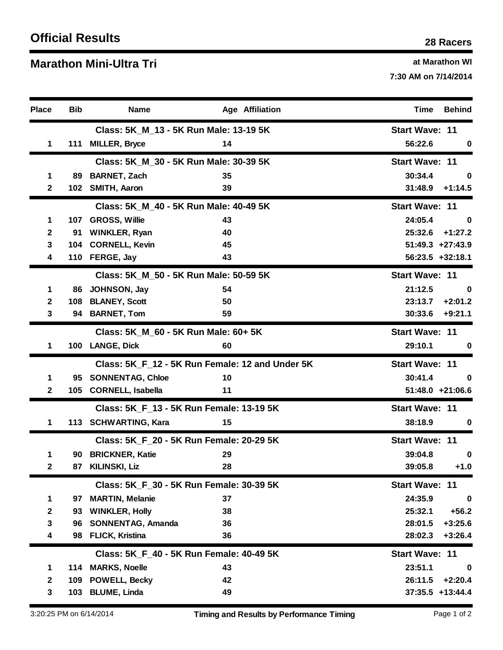## **O <sup>28</sup> Racers fficial Results**

## **Ma at Marathon WI rathon Mini-Ultra Tri**

**7:30 AM on 7/14/2014**

| <b>Place</b> | <b>Bib</b>                             | <b>Name</b>                                     | <b>Age Affiliation</b> | Time<br><b>Behind</b>  |
|--------------|----------------------------------------|-------------------------------------------------|------------------------|------------------------|
|              | Class: 5K_M_13 - 5K Run Male: 13-19 5K |                                                 |                        | <b>Start Wave: 11</b>  |
| 1            | 111                                    | <b>MILLER, Bryce</b>                            | 14                     | 56:22.6<br>0           |
|              |                                        | Class: 5K_M_30 - 5K Run Male: 30-39 5K          | <b>Start Wave: 11</b>  |                        |
| 1            | 89                                     | <b>BARNET, Zach</b>                             | 35                     | 30:34.4<br>0           |
| $\mathbf{2}$ |                                        | 102 SMITH, Aaron                                | 39                     | 31:48.9<br>$+1:14.5$   |
|              |                                        | Class: 5K M 40 - 5K Run Male: 40-49 5K          | <b>Start Wave: 11</b>  |                        |
| 1            | 107                                    | <b>GROSS, Willie</b>                            | 43                     | 24:05.4<br>0           |
| 2            | 91                                     | <b>WINKLER, Ryan</b>                            | 40                     | 25:32.6<br>$+1:27.2$   |
| 3            | 104                                    | <b>CORNELL, Kevin</b>                           | 45                     | $51:49.3$ +27:43.9     |
| 4            |                                        | 110 FERGE, Jay                                  | 43                     | 56:23.5 +32:18.1       |
|              |                                        | Class: 5K M 50 - 5K Run Male: 50-59 5K          | <b>Start Wave: 11</b>  |                        |
| 1            | 86                                     | JOHNSON, Jay                                    | 54                     | 21:12.5<br>0           |
| $\mathbf{2}$ | 108                                    | <b>BLANEY, Scott</b>                            | 50                     | 23:13.7<br>$+2:01.2$   |
| 3            | 94                                     | <b>BARNET, Tom</b>                              | 59                     | 30:33.6<br>$+9:21.1$   |
|              |                                        | Class: 5K_M_60 - 5K Run Male: 60+ 5K            | <b>Start Wave: 11</b>  |                        |
| 1            |                                        | 100 LANGE, Dick                                 | 60                     | 29:10.1<br>0           |
|              |                                        | Class: 5K_F_12 - 5K Run Female: 12 and Under 5K | <b>Start Wave: 11</b>  |                        |
| 1            | 95                                     | <b>SONNENTAG, Chloe</b>                         | 10                     | 30:41.4<br>$\bf{0}$    |
| $\mathbf{2}$ |                                        | 105 CORNELL, Isabella                           | 11                     | $51:48.0 +21:06.6$     |
|              |                                        | Class: 5K_F_13 - 5K Run Female: 13-19 5K        | <b>Start Wave: 11</b>  |                        |
| 1            |                                        | 113 SCHWARTING, Kara                            | 15                     | 38:18.9<br>0           |
|              |                                        | Class: 5K F 20 - 5K Run Female: 20-29 5K        | <b>Start Wave: 11</b>  |                        |
| 1            | 90                                     | <b>BRICKNER, Katie</b>                          | 29                     | 39:04.8<br>$\bf{0}$    |
| 2            | 87                                     | KILINSKI, Liz                                   | 28                     | 39:05.8<br>$+1.0$      |
|              |                                        | Class: 5K_F_30 - 5K Run Female: 30-39 5K        | <b>Start Wave: 11</b>  |                        |
| 1            | 97                                     | <b>MARTIN, Melanie</b>                          | 37                     | 24:35.9<br>$\mathbf 0$ |
| $\mathbf{2}$ | 93                                     | <b>WINKLER, Holly</b>                           | 38                     | $+56.2$<br>25:32.1     |
| 3            | 96                                     | SONNENTAG, Amanda                               | 36                     | 28:01.5<br>$+3:25.6$   |
| 4            | 98                                     | <b>FLICK, Kristina</b>                          | 36                     | 28:02.3<br>$+3:26.4$   |
|              |                                        | Class: 5K_F_40 - 5K Run Female: 40-49 5K        | <b>Start Wave: 11</b>  |                        |
| 1            | 114                                    | <b>MARKS, Noelle</b>                            | 43                     | 23:51.1<br>$\bf{0}$    |
| $\mathbf{2}$ | 109                                    | POWELL, Becky                                   | 42                     | $+2:20.4$<br>26:11.5   |
| 3            | 103                                    | <b>BLUME, Linda</b>                             | 49                     | $37:35.5 + 13:44.4$    |